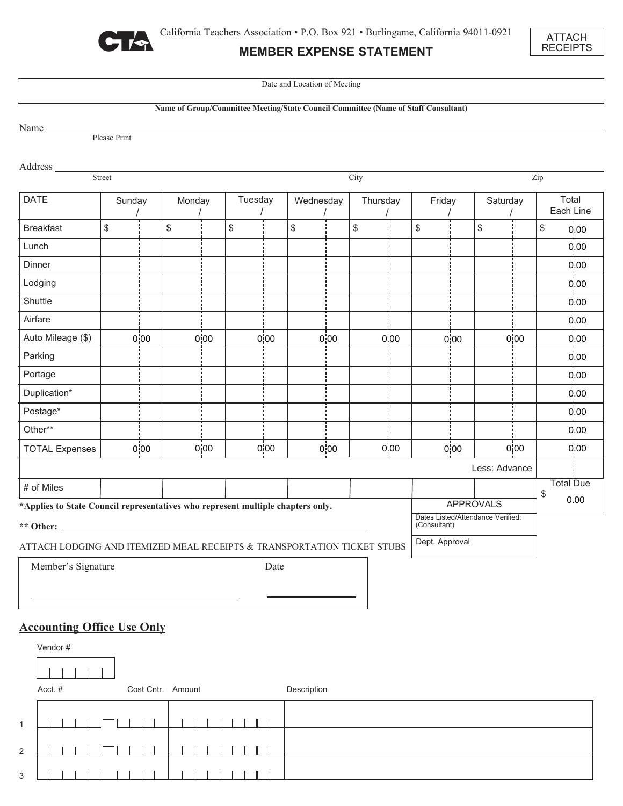

2

 $\begin{tabular}{c} \top \end{tabular}$ 

 $\perp$ 

 $\overline{\phantom{a}}$  $\Box$ 

 $\mathbf{I}$ 

3

# **MEMBER EXPENSE STATEMENT**



Date and Location of Meeting

|                                                                                                     |                                                                                           |      |                   |      |         |      |             |      |          |      | Name of Group/Committee Meeting/State Council Committee (Name of Staff Consultant) |            |               |      |                    |                   |
|-----------------------------------------------------------------------------------------------------|-------------------------------------------------------------------------------------------|------|-------------------|------|---------|------|-------------|------|----------|------|------------------------------------------------------------------------------------|------------|---------------|------|--------------------|-------------------|
| Name <sub>_____</sub>                                                                               |                                                                                           |      |                   |      |         |      |             |      |          |      |                                                                                    |            |               |      |                    |                   |
|                                                                                                     | Please Print                                                                              |      |                   |      |         |      |             |      |          |      |                                                                                    |            |               |      |                    |                   |
| Address_                                                                                            |                                                                                           |      |                   |      |         |      |             |      |          |      |                                                                                    |            |               |      |                    |                   |
| Street<br>City                                                                                      |                                                                                           |      |                   |      |         |      |             |      |          |      |                                                                                    | Zip        |               |      |                    |                   |
| <b>DATE</b>                                                                                         | Sunday                                                                                    |      | Monday            |      | Tuesday |      | Wednesday   |      | Thursday |      | Friday                                                                             |            | Saturday      |      | Total<br>Each Line |                   |
| <b>Breakfast</b>                                                                                    | \$                                                                                        |      | \$                |      | \$      |      | \$          |      | \$       |      | \$                                                                                 |            | \$            |      | \$                 | 0,00              |
| Lunch                                                                                               |                                                                                           |      |                   |      |         |      |             |      |          |      |                                                                                    |            |               |      |                    | 0,00              |
| Dinner                                                                                              |                                                                                           |      |                   |      |         |      |             |      |          |      |                                                                                    |            |               |      |                    | 0,00              |
| Lodging                                                                                             |                                                                                           |      |                   |      |         |      |             |      |          |      |                                                                                    |            |               |      |                    | 0:00              |
| Shuttle                                                                                             |                                                                                           |      |                   |      |         |      |             |      |          |      |                                                                                    |            |               |      |                    | 0,00              |
| Airfare                                                                                             |                                                                                           |      |                   |      |         |      |             |      |          |      |                                                                                    |            |               |      |                    | 0,00              |
| Auto Mileage (\$)                                                                                   |                                                                                           | 0,00 |                   | 0,00 |         | 0,00 |             | 0,00 |          | 0,00 |                                                                                    | 0,00       |               | 0,00 |                    | 0,00              |
| Parking                                                                                             |                                                                                           |      |                   |      |         |      |             |      |          |      |                                                                                    |            |               |      |                    | 0,00              |
| Portage                                                                                             |                                                                                           |      |                   |      |         |      |             |      |          |      |                                                                                    |            |               |      |                    | 0:00              |
| Duplication*                                                                                        |                                                                                           |      |                   |      |         |      |             |      |          |      |                                                                                    |            |               |      |                    | 0,00              |
| Postage*                                                                                            |                                                                                           |      |                   |      |         |      |             |      |          |      |                                                                                    |            |               |      |                    | 0,00              |
| Other**                                                                                             |                                                                                           |      |                   |      |         |      |             |      |          |      |                                                                                    |            |               |      |                    | 0 00              |
| <b>TOTAL Expenses</b>                                                                               |                                                                                           | 0,00 |                   | 0,00 |         | 0,00 |             | 0,00 |          | 0,00 |                                                                                    | 0,00       |               | 0,00 |                    | 0 <sub>i</sub> 00 |
|                                                                                                     |                                                                                           |      |                   |      |         |      |             |      |          |      |                                                                                    |            | Less: Advance |      |                    |                   |
| # of Miles                                                                                          |                                                                                           |      |                   |      |         |      |             |      |          |      |                                                                                    |            |               |      |                    | <b>Total Due</b>  |
| <b>APPROVALS</b><br>*Applies to State Council representatives who represent multiple chapters only. |                                                                                           |      |                   |      |         |      |             |      |          |      |                                                                                    | \$<br>0.00 |               |      |                    |                   |
|                                                                                                     | Dates Listed/Attendance Verified:<br>(Consultant)                                         |      |                   |      |         |      |             |      |          |      |                                                                                    |            |               |      |                    |                   |
|                                                                                                     | Dept. Approval<br>ATTACH LODGING AND ITEMIZED MEAL RECEIPTS & TRANSPORTATION TICKET STUBS |      |                   |      |         |      |             |      |          |      |                                                                                    |            |               |      |                    |                   |
| Member's Signature                                                                                  |                                                                                           |      |                   |      |         | Date |             |      |          |      |                                                                                    |            |               |      |                    |                   |
|                                                                                                     |                                                                                           |      |                   |      |         |      |             |      |          |      |                                                                                    |            |               |      |                    |                   |
|                                                                                                     |                                                                                           |      |                   |      |         |      |             |      |          |      |                                                                                    |            |               |      |                    |                   |
|                                                                                                     |                                                                                           |      |                   |      |         |      |             |      |          |      |                                                                                    |            |               |      |                    |                   |
| <b>Accounting Office Use Only</b>                                                                   |                                                                                           |      |                   |      |         |      |             |      |          |      |                                                                                    |            |               |      |                    |                   |
| Vendor #                                                                                            |                                                                                           |      |                   |      |         |      |             |      |          |      |                                                                                    |            |               |      |                    |                   |
|                                                                                                     |                                                                                           |      |                   |      |         |      |             |      |          |      |                                                                                    |            |               |      |                    |                   |
| Acct. #                                                                                             |                                                                                           |      | Cost Cntr. Amount |      |         |      | Description |      |          |      |                                                                                    |            |               |      |                    |                   |
|                                                                                                     |                                                                                           |      |                   |      |         |      |             |      |          |      |                                                                                    |            |               |      |                    |                   |
| $\mathbf{1}$                                                                                        |                                                                                           |      |                   |      |         |      |             |      |          |      |                                                                                    |            |               |      |                    |                   |

 $\overline{\phantom{a}}$ 

 $\mathbf{I}$